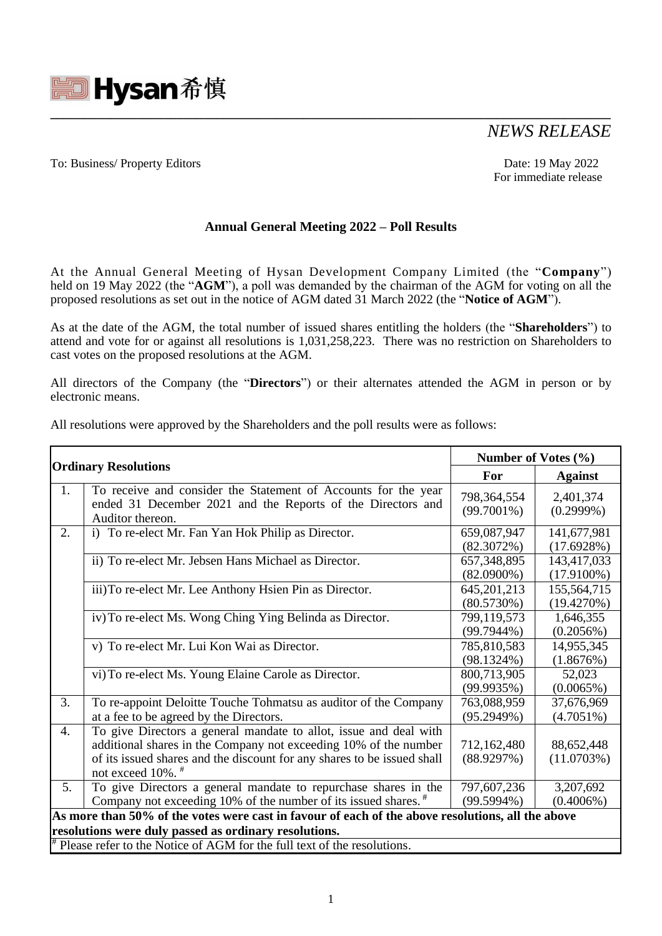

# *NEWS RELEASE*

### To: Business/ Property Editors Date: 19 May 2022

For immediate release

## **Annual General Meeting 2022 – Poll Results**

**\_\_\_\_\_\_\_\_\_\_\_\_\_\_\_\_\_\_\_\_\_\_\_\_\_\_\_\_\_\_\_\_\_\_\_\_\_\_\_\_\_\_\_\_\_\_\_\_\_\_\_\_\_\_\_\_\_\_\_\_\_\_\_\_\_\_\_\_\_\_\_\_\_\_\_\_\_\_\_\_\_\_\_\_**

At the Annual General Meeting of Hysan Development Company Limited (the "**Company**") held on 19 May 2022 (the "**AGM**"), a poll was demanded by the chairman of the AGM for voting on all the proposed resolutions as set out in the notice of AGM dated 31 March 2022 (the "**Notice of AGM**").

As at the date of the AGM, the total number of issued shares entitling the holders (the "**Shareholders**") to attend and vote for or against all resolutions is 1,031,258,223. There was no restriction on Shareholders to cast votes on the proposed resolutions at the AGM.

All directors of the Company (the "**Directors**") or their alternates attended the AGM in person or by electronic means.

| <b>Ordinary Resolutions</b>                                                                       |                                                                                                                                                                                                                                                  | Number of Votes $(\% )$        |                              |
|---------------------------------------------------------------------------------------------------|--------------------------------------------------------------------------------------------------------------------------------------------------------------------------------------------------------------------------------------------------|--------------------------------|------------------------------|
|                                                                                                   |                                                                                                                                                                                                                                                  | For                            | <b>Against</b>               |
| 1.                                                                                                | To receive and consider the Statement of Accounts for the year<br>ended 31 December 2021 and the Reports of the Directors and<br>Auditor thereon.                                                                                                | 798, 364, 554<br>$(99.7001\%)$ | 2,401,374<br>$(0.2999\%)$    |
| 2.                                                                                                | i) To re-elect Mr. Fan Yan Hok Philip as Director.                                                                                                                                                                                               | 659,087,947<br>(82.3072%)      | 141,677,981<br>(17.6928%)    |
|                                                                                                   | ii) To re-elect Mr. Jebsen Hans Michael as Director.                                                                                                                                                                                             | 657, 348, 895<br>$(82.0900\%)$ | 143,417,033<br>$(17.9100\%)$ |
|                                                                                                   | iii) To re-elect Mr. Lee Anthony Hsien Pin as Director.                                                                                                                                                                                          | 645, 201, 213<br>(80.5730%)    | 155,564,715<br>(19.4270%)    |
|                                                                                                   | iv) To re-elect Ms. Wong Ching Ying Belinda as Director.                                                                                                                                                                                         | 799,119,573<br>$(99.7944\%)$   | 1,646,355<br>(0.2056%)       |
|                                                                                                   | v) To re-elect Mr. Lui Kon Wai as Director.                                                                                                                                                                                                      | 785,810,583<br>$(98.1324\%)$   | 14,955,345<br>(1.8676%)      |
|                                                                                                   | vi) To re-elect Ms. Young Elaine Carole as Director.                                                                                                                                                                                             | 800,713,905<br>(99.9935%)      | 52,023<br>$(0.0065\%)$       |
| 3.                                                                                                | To re-appoint Deloitte Touche Tohmatsu as auditor of the Company<br>at a fee to be agreed by the Directors.                                                                                                                                      | 763,088,959<br>(95.2949%)      | 37,676,969<br>$(4.7051\%)$   |
| $\overline{4}$ .                                                                                  | To give Directors a general mandate to allot, issue and deal with<br>additional shares in the Company not exceeding 10% of the number<br>of its issued shares and the discount for any shares to be issued shall<br>not exceed 10%. <sup>#</sup> | 712,162,480<br>(88.9297%)      | 88,652,448<br>(11.0703%)     |
| 5.                                                                                                | To give Directors a general mandate to repurchase shares in the<br>Company not exceeding 10% of the number of its issued shares. $*$                                                                                                             | 797,607,236<br>$(99.5994\%)$   | 3,207,692<br>$(0.4006\%)$    |
| As more than 50% of the votes were cast in favour of each of the above resolutions, all the above |                                                                                                                                                                                                                                                  |                                |                              |
| resolutions were duly passed as ordinary resolutions.                                             |                                                                                                                                                                                                                                                  |                                |                              |
| <sup>#</sup> Please refer to the Notice of AGM for the full text of the resolutions.              |                                                                                                                                                                                                                                                  |                                |                              |

All resolutions were approved by the Shareholders and the poll results were as follows: